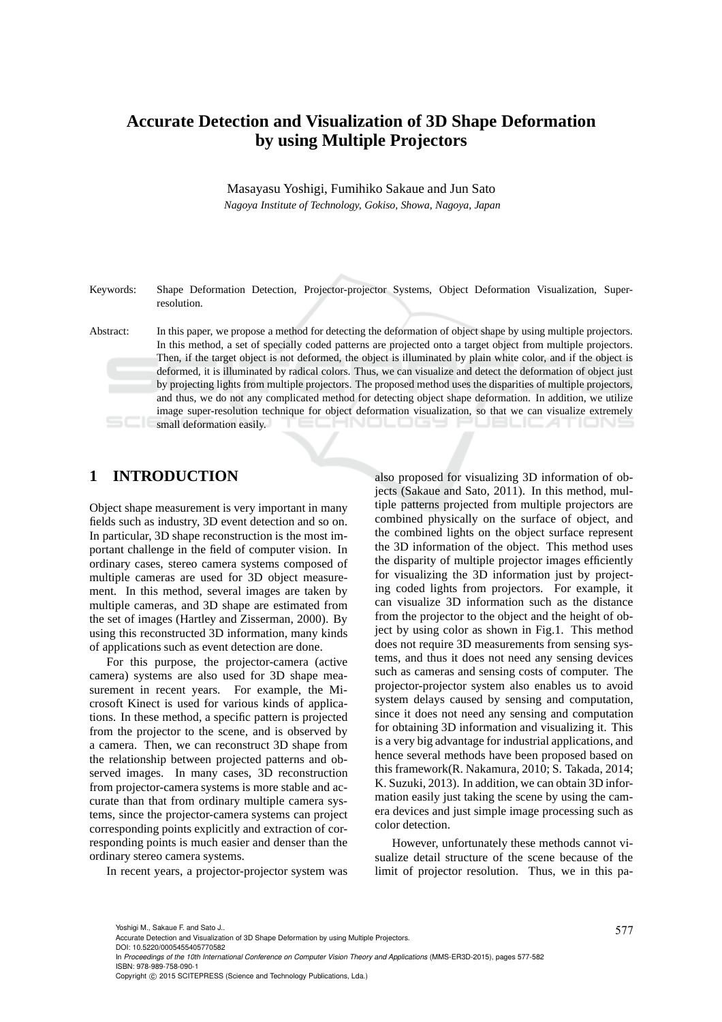# **Accurate Detection and Visualization of 3D Shape Deformation by using Multiple Projectors**

Masayasu Yoshigi, Fumihiko Sakaue and Jun Sato *Nagoya Institute of Technology, Gokiso, Showa, Nagoya, Japan*

Keywords: Shape Deformation Detection, Projector-projector Systems, Object Deformation Visualization, Superresolution.

Abstract: In this paper, we propose a method for detecting the deformation of object shape by using multiple projectors. In this method, a set of specially coded patterns are projected onto a target object from multiple projectors. Then, if the target object is not deformed, the object is illuminated by plain white color, and if the object is deformed, it is illuminated by radical colors. Thus, we can visualize and detect the deformation of object just by projecting lights from multiple projectors. The proposed method uses the disparities of multiple projectors, and thus, we do not any complicated method for detecting object shape deformation. In addition, we utilize image super-resolution technique for object deformation visualization, so that we can visualize extremely small deformation easily. NULUGS

# **1 INTRODUCTION**

Object shape measurement is very important in many fields such as industry, 3D event detection and so on. In particular, 3D shape reconstruction is the most important challenge in the field of computer vision. In ordinary cases, stereo camera systems composed of multiple cameras are used for 3D object measurement. In this method, several images are taken by multiple cameras, and 3D shape are estimated from the set of images (Hartley and Zisserman, 2000). By using this reconstructed 3D information, many kinds of applications such as event detection are done.

For this purpose, the projector-camera (active camera) systems are also used for 3D shape measurement in recent years. For example, the Microsoft Kinect is used for various kinds of applications. In these method, a specific pattern is projected from the projector to the scene, and is observed by a camera. Then, we can reconstruct 3D shape from the relationship between projected patterns and observed images. In many cases, 3D reconstruction from projector-camera systems is more stable and accurate than that from ordinary multiple camera systems, since the projector-camera systems can project corresponding points explicitly and extraction of corresponding points is much easier and denser than the ordinary stereo camera systems.

In recent years, a projector-projector system was

also proposed for visualizing 3D information of objects (Sakaue and Sato, 2011). In this method, multiple patterns projected from multiple projectors are combined physically on the surface of object, and the combined lights on the object surface represent the 3D information of the object. This method uses the disparity of multiple projector images efficiently for visualizing the 3D information just by projecting coded lights from projectors. For example, it can visualize 3D information such as the distance from the projector to the object and the height of object by using color as shown in Fig.1. This method does not require 3D measurements from sensing systems, and thus it does not need any sensing devices such as cameras and sensing costs of computer. The projector-projector system also enables us to avoid system delays caused by sensing and computation, since it does not need any sensing and computation for obtaining 3D information and visualizing it. This is a very big advantage for industrial applications, and hence several methods have been proposed based on this framework(R. Nakamura, 2010; S. Takada, 2014; K. Suzuki, 2013). In addition, we can obtain 3D information easily just taking the scene by using the camera devices and just simple image processing such as color detection.

However, unfortunately these methods cannot visualize detail structure of the scene because of the limit of projector resolution. Thus, we in this pa-

<sup>577</sup> Yoshigi M., Sakaue F. and Sato J.. Accurate Detection and Visualization of 3D Shape Deformation by using Multiple Projectors.

DOI: 10.5220/0005455405770582

In *Proceedings of the 10th International Conference on Computer Vision Theory and Applications* (MMS-ER3D-2015), pages 577-582 ISBN: 978-989-758-090-1

Copyright © 2015 SCITEPRESS (Science and Technology Publications, Lda.)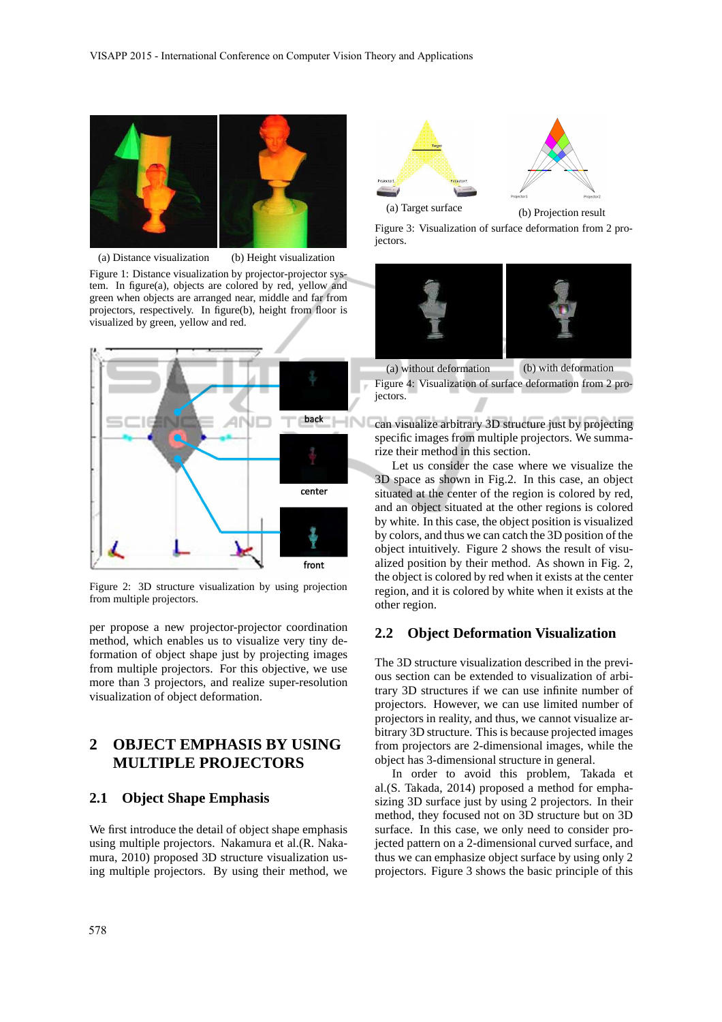

(a) Distance visualization (b) Height visualization Figure 1: Distance visualization by projector-projector system. In figure(a), objects are colored by red, yellow and green when objects are arranged near, middle and far from projectors, respectively. In figure(b), height from floor is

visualized by green, yellow and red.



Figure 2: 3D structure visualization by using projection from multiple projectors.

per propose a new projector-projector coordination method, which enables us to visualize very tiny deformation of object shape just by projecting images from multiple projectors. For this objective, we use more than 3 projectors, and realize super-resolution visualization of object deformation.

## **2 OBJECT EMPHASIS BY USING MULTIPLE PROJECTORS**

#### **2.1 Object Shape Emphasis**

We first introduce the detail of object shape emphasis using multiple projectors. Nakamura et al.(R. Nakamura, 2010) proposed 3D structure visualization using multiple projectors. By using their method, we





(a) Target surface (b) Projection result

Figure 3: Visualization of surface deformation from 2 projectors.



(a) without deformation (b) with deformation Figure 4: Visualization of surface deformation from 2 projectors.

can visualize arbitrary 3D structure just by projecting specific images from multiple projectors. We summarize their method in this section.

Let us consider the case where we visualize the 3D space as shown in Fig.2. In this case, an object situated at the center of the region is colored by red, and an object situated at the other regions is colored by white. In this case, the object position is visualized by colors, and thus we can catch the 3D position of the object intuitively. Figure 2 shows the result of visualized position by their method. As shown in Fig. 2, the object is colored by red when it exists at the center region, and it is colored by white when it exists at the other region.

#### **2.2 Object Deformation Visualization**

The 3D structure visualization described in the previous section can be extended to visualization of arbitrary 3D structures if we can use infinite number of projectors. However, we can use limited number of projectors in reality, and thus, we cannot visualize arbitrary 3D structure. This is because projected images from projectors are 2-dimensional images, while the object has 3-dimensional structure in general.

In order to avoid this problem, Takada et al.(S. Takada, 2014) proposed a method for emphasizing 3D surface just by using 2 projectors. In their method, they focused not on 3D structure but on 3D surface. In this case, we only need to consider projected pattern on a 2-dimensional curved surface, and thus we can emphasize object surface by using only 2 projectors. Figure 3 shows the basic principle of this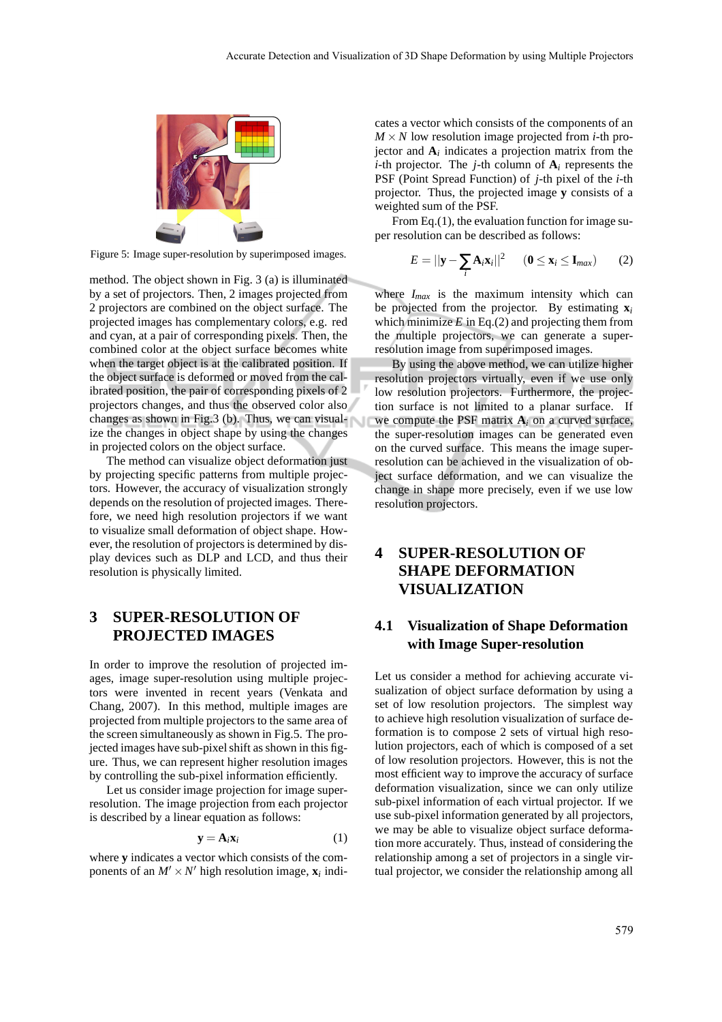

Figure 5: Image super-resolution by superimposed images.

method. The object shown in Fig. 3 (a) is illuminated by a set of projectors. Then, 2 images projected from 2 projectors are combined on the object surface. The projected images has complementary colors, e.g. red and cyan, at a pair of corresponding pixels. Then, the combined color at the object surface becomes white when the target object is at the calibrated position. If the object surface is deformed or moved from the calibrated position, the pair of corresponding pixels of 2 projectors changes, and thus the observed color also changes as shown in Fig.3 (b). Thus, we can visualize the changes in object shape by using the changes in projected colors on the object surface.

The method can visualize object deformation just by projecting specific patterns from multiple projectors. However, the accuracy of visualization strongly depends on the resolution of projected images. Therefore, we need high resolution projectors if we want to visualize small deformation of object shape. However, the resolution of projectors is determined by display devices such as DLP and LCD, and thus their resolution is physically limited.

# **3 SUPER-RESOLUTION OF PROJECTED IMAGES**

In order to improve the resolution of projected images, image super-resolution using multiple projectors were invented in recent years (Venkata and Chang, 2007). In this method, multiple images are projected from multiple projectors to the same area of the screen simultaneously as shown in Fig.5. The projected images have sub-pixel shift as shown in this figure. Thus, we can represent higher resolution images by controlling the sub-pixel information efficiently.

Let us consider image projection for image superresolution. The image projection from each projector is described by a linear equation as follows:

$$
\mathbf{y} = \mathbf{A}_i \mathbf{x}_i \tag{1}
$$

where **y** indicates a vector which consists of the components of an  $M' \times N'$  high resolution image,  $\mathbf{x}_i$  indicates a vector which consists of the components of an  $M \times N$  low resolution image projected from *i*-th projector and  $A_i$  indicates a projection matrix from the *i*-th projector. The *j*-th column of  $A_i$  represents the PSF (Point Spread Function) of *j*-th pixel of the *i*-th projector. Thus, the projected image **y** consists of a weighted sum of the PSF.

From Eq.(1), the evaluation function for image super resolution can be described as follows:

$$
E = ||\mathbf{y} - \sum_{i} \mathbf{A}_{i} \mathbf{x}_{i}||^{2} \qquad (\mathbf{0} \leq \mathbf{x}_{i} \leq \mathbf{I}_{max}) \qquad (2)
$$

where *Imax* is the maximum intensity which can be projected from the projector. By estimating **x***<sup>i</sup>* which minimize  $E$  in Eq.(2) and projecting them from the multiple projectors, we can generate a superresolution image from superimposed images.

By using the above method, we can utilize higher resolution projectors virtually, even if we use only low resolution projectors. Furthermore, the projection surface is not limited to a planar surface. If we compute the PSF matrix  $A_i$  on a curved surface, the super-resolution images can be generated even on the curved surface. This means the image superresolution can be achieved in the visualization of object surface deformation, and we can visualize the change in shape more precisely, even if we use low resolution projectors.

# **4 SUPER-RESOLUTION OF SHAPE DEFORMATION VISUALIZATION**

## **4.1 Visualization of Shape Deformation with Image Super-resolution**

Let us consider a method for achieving accurate visualization of object surface deformation by using a set of low resolution projectors. The simplest way to achieve high resolution visualization of surface deformation is to compose 2 sets of virtual high resolution projectors, each of which is composed of a set of low resolution projectors. However, this is not the most efficient way to improve the accuracy of surface deformation visualization, since we can only utilize sub-pixel information of each virtual projector. If we use sub-pixel information generated by all projectors, we may be able to visualize object surface deformation more accurately. Thus, instead of considering the relationship among a set of projectors in a single virtual projector, we consider the relationship among all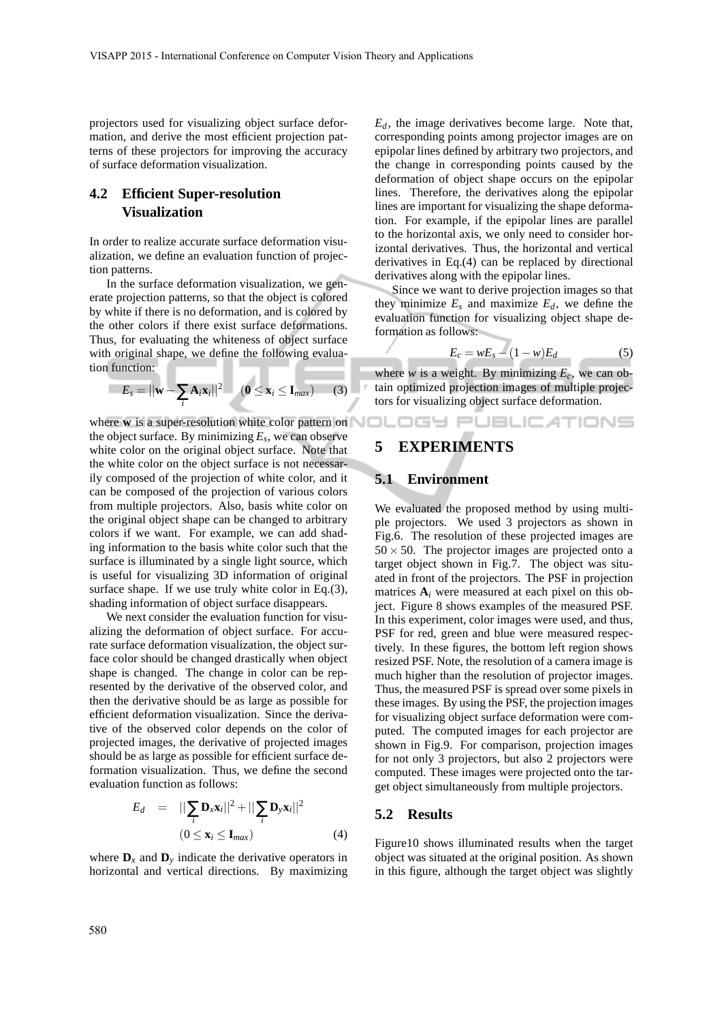projectors used for visualizing object surface deformation, and derive the most efficient projection patterns of these projectors for improving the accuracy of surface deformation visualization.

## **4.2 Efficient Super-resolution Visualization**

×

In order to realize accurate surface deformation visualization, we define an evaluation function of projection patterns.

In the surface deformation visualization, we generate projection patterns, so that the object is colored by white if there is no deformation, and is colored by the other colors if there exist surface deformations. Thus, for evaluating the whiteness of object surface with original shape, we define the following evaluation function:

$$
E_s = ||\mathbf{w} - \sum_i \mathbf{A}_i \mathbf{x}_i||^2 \qquad (0 \le \mathbf{x}_i \le \mathbf{I}_{max}) \qquad (3)
$$

where **w** is a super-resolution white color pattern on the object surface. By minimizing *E<sup>s</sup>* , we can observe white color on the original object surface. Note that the white color on the object surface is not necessarily composed of the projection of white color, and it can be composed of the projection of various colors from multiple projectors. Also, basis white color on the original object shape can be changed to arbitrary colors if we want. For example, we can add shading information to the basis white color such that the surface is illuminated by a single light source, which is useful for visualizing 3D information of original surface shape. If we use truly white color in Eq.(3), shading information of object surface disappears.

We next consider the evaluation function for visualizing the deformation of object surface. For accurate surface deformation visualization, the object surface color should be changed drastically when object shape is changed. The change in color can be represented by the derivative of the observed color, and then the derivative should be as large as possible for efficient deformation visualization. Since the derivative of the observed color depends on the color of projected images, the derivative of projected images should be as large as possible for efficient surface deformation visualization. Thus, we define the second evaluation function as follows:

$$
E_d = ||\sum_i \mathbf{D}_x \mathbf{x}_i||^2 + ||\sum_i \mathbf{D}_y \mathbf{x}_i||^2
$$
  

$$
(0 \le \mathbf{x}_i \le \mathbf{I}_{max})
$$
 (4)

where  $\mathbf{D}_x$  and  $\mathbf{D}_y$  indicate the derivative operators in horizontal and vertical directions. By maximizing *Ed*, the image derivatives become large. Note that, corresponding points among projector images are on epipolar lines defined by arbitrary two projectors, and the change in corresponding points caused by the deformation of object shape occurs on the epipolar lines. Therefore, the derivatives along the epipolar lines are important for visualizing the shape deformation. For example, if the epipolar lines are parallel to the horizontal axis, we only need to consider horizontal derivatives. Thus, the horizontal and vertical derivatives in Eq.(4) can be replaced by directional derivatives along with the epipolar lines.

Since we want to derive projection images so that they minimize  $E_s$  and maximize  $E_d$ , we define the evaluation function for visualizing object shape deformation as follows:

$$
E_c = wE_s - (1 - w)E_d \tag{5}
$$

where  $w$  is a weight. By minimizing  $E_c$ , we can obtain optimized projection images of multiple projectors for visualizing object surface deformation.

OGY PUBLICATIONS

### **5 EXPERIMENTS**

#### **5.1 Environment**

 $\bar{y}$ 

We evaluated the proposed method by using multiple projectors. We used 3 projectors as shown in Fig.6. The resolution of these projected images are  $50 \times 50$ . The projector images are projected onto a target object shown in Fig.7. The object was situated in front of the projectors. The PSF in projection matrices  $A_i$  were measured at each pixel on this object. Figure 8 shows examples of the measured PSF. In this experiment, color images were used, and thus, PSF for red, green and blue were measured respectively. In these figures, the bottom left region shows resized PSF. Note, the resolution of a camera image is much higher than the resolution of projector images. Thus, the measured PSF is spread over some pixels in these images. By using the PSF, the projection images for visualizing object surface deformation were computed. The computed images for each projector are shown in Fig.9. For comparison, projection images for not only 3 projectors, but also 2 projectors were computed. These images were projected onto the target object simultaneously from multiple projectors.

#### **5.2 Results**

Figure10 shows illuminated results when the target object was situated at the original position. As shown in this figure, although the target object was slightly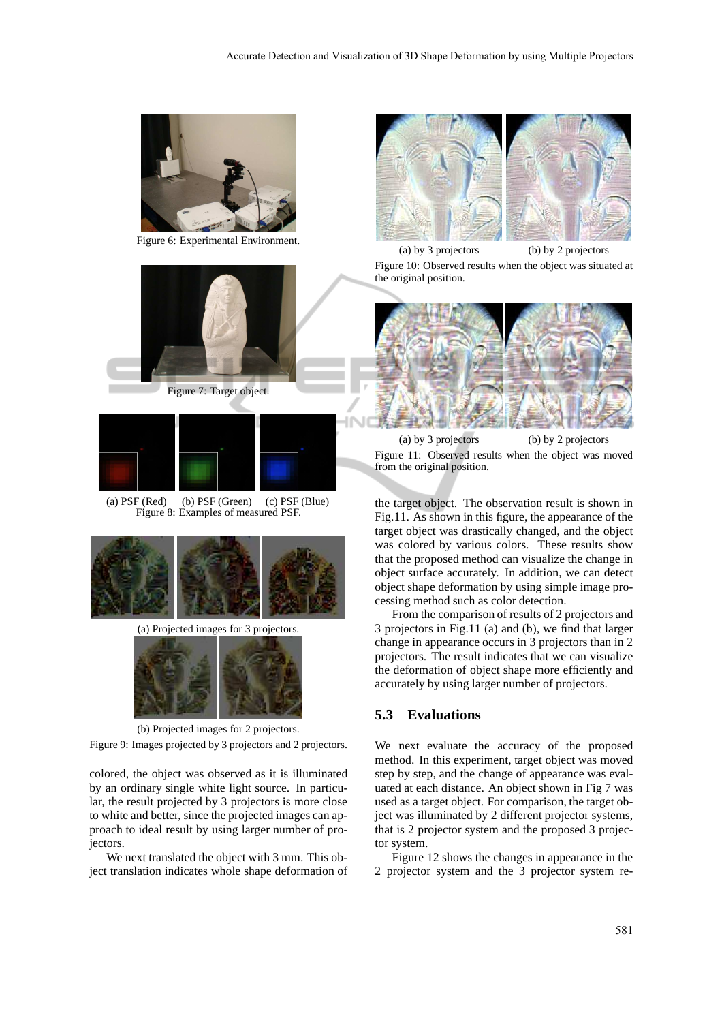

Figure 6: Experimental Environment.



Figure 7: Target object.







(a) Projected images for 3 projectors.



(b) Projected images for 2 projectors.

Figure 9: Images projected by 3 projectors and 2 projectors.

colored, the object was observed as it is illuminated by an ordinary single white light source. In particular, the result projected by 3 projectors is more close to white and better, since the projected images can approach to ideal result by using larger number of projectors.

We next translated the object with 3 mm. This object translation indicates whole shape deformation of



(a) by 3 projectors (b) by 2 projectors Figure 10: Observed results when the object was situated at the original position.



(a) by 3 projectors (b) by 2 projectors Figure 11: Observed results when the object was moved from the original position.

the target object. The observation result is shown in Fig.11. As shown in this figure, the appearance of the target object was drastically changed, and the object was colored by various colors. These results show that the proposed method can visualize the change in object surface accurately. In addition, we can detect object shape deformation by using simple image processing method such as color detection.

From the comparison of results of 2 projectors and 3 projectors in Fig.11 (a) and (b), we find that larger change in appearance occurs in 3 projectors than in 2 projectors. The result indicates that we can visualize the deformation of object shape more efficiently and accurately by using larger number of projectors.

### **5.3 Evaluations**

We next evaluate the accuracy of the proposed method. In this experiment, target object was moved step by step, and the change of appearance was evaluated at each distance. An object shown in Fig 7 was used as a target object. For comparison, the target object was illuminated by 2 different projector systems, that is 2 projector system and the proposed 3 projector system.

Figure 12 shows the changes in appearance in the 2 projector system and the 3 projector system re